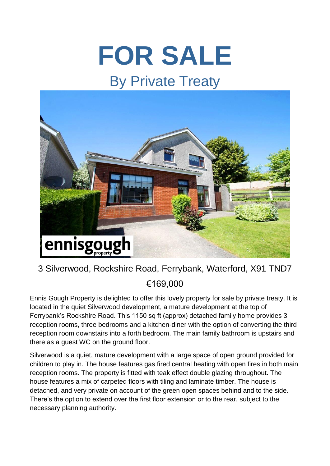## **FOR SALE**

## By Private Treaty



## 3 Silverwood, Rockshire Road, Ferrybank, Waterford, X91 TND7 €169,000

Ennis Gough Property is delighted to offer this lovely property for sale by private treaty. It is located in the quiet Silverwood development, a mature development at the top of Ferrybank's Rockshire Road. This 1150 sq ft (approx) detached family home provides 3 reception rooms, three bedrooms and a kitchen-diner with the option of converting the third reception room downstairs into a forth bedroom. The main family bathroom is upstairs and there as a guest WC on the ground floor.

Silverwood is a quiet, mature development with a large space of open ground provided for children to play in. The house features gas fired central heating with open fires in both main reception rooms. The property is fitted with teak effect double glazing throughout. The house features a mix of carpeted floors with tiling and laminate timber. The house is detached, and very private on account of the green open spaces behind and to the side. There's the option to extend over the first floor extension or to the rear, subject to the necessary planning authority.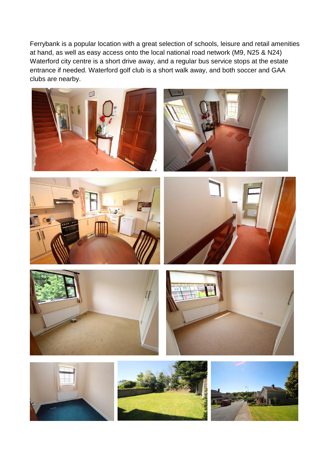Ferrybank is a popular location with a great selection of schools, leisure and retail amenities at hand, as well as easy access onto the local national road network (M9, N25 & N24) Waterford city centre is a short drive away, and a regular bus service stops at the estate entrance if needed. Waterford golf club is a short walk away, and both soccer and GAA clubs are nearby.